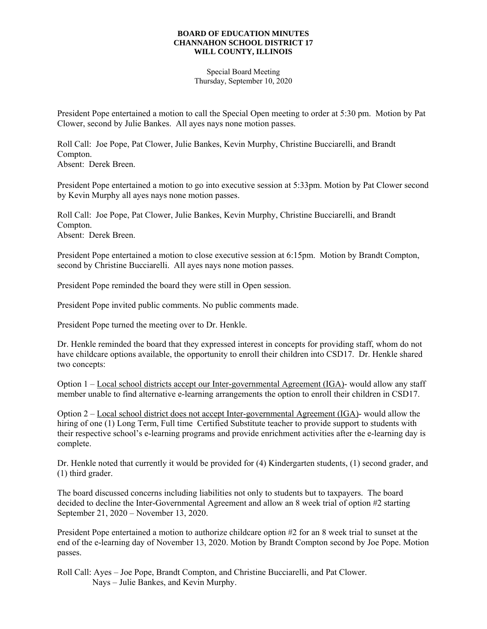## **BOARD OF EDUCATION MINUTES CHANNAHON SCHOOL DISTRICT 17 WILL COUNTY, ILLINOIS**

Special Board Meeting Thursday, September 10, 2020

President Pope entertained a motion to call the Special Open meeting to order at 5:30 pm. Motion by Pat Clower, second by Julie Bankes. All ayes nays none motion passes.

Roll Call: Joe Pope, Pat Clower, Julie Bankes, Kevin Murphy, Christine Bucciarelli, and Brandt Compton.

Absent: Derek Breen.

President Pope entertained a motion to go into executive session at 5:33pm. Motion by Pat Clower second by Kevin Murphy all ayes nays none motion passes.

Roll Call: Joe Pope, Pat Clower, Julie Bankes, Kevin Murphy, Christine Bucciarelli, and Brandt Compton.

Absent: Derek Breen.

President Pope entertained a motion to close executive session at 6:15pm. Motion by Brandt Compton, second by Christine Bucciarelli. All ayes nays none motion passes.

President Pope reminded the board they were still in Open session.

President Pope invited public comments. No public comments made.

President Pope turned the meeting over to Dr. Henkle.

Dr. Henkle reminded the board that they expressed interest in concepts for providing staff, whom do not have childcare options available, the opportunity to enroll their children into CSD17. Dr. Henkle shared two concepts:

Option 1 – Local school districts accept our Inter-governmental Agreement (IGA)- would allow any staff member unable to find alternative e-learning arrangements the option to enroll their children in CSD17.

Option 2 – Local school district does not accept Inter-governmental Agreement (IGA)- would allow the hiring of one (1) Long Term, Full time Certified Substitute teacher to provide support to students with their respective school's e-learning programs and provide enrichment activities after the e-learning day is complete.

Dr. Henkle noted that currently it would be provided for (4) Kindergarten students, (1) second grader, and (1) third grader.

The board discussed concerns including liabilities not only to students but to taxpayers. The board decided to decline the Inter-Governmental Agreement and allow an 8 week trial of option #2 starting September 21, 2020 – November 13, 2020.

President Pope entertained a motion to authorize childcare option #2 for an 8 week trial to sunset at the end of the e-learning day of November 13, 2020. Motion by Brandt Compton second by Joe Pope. Motion passes.

Roll Call: Ayes – Joe Pope, Brandt Compton, and Christine Bucciarelli, and Pat Clower. Nays – Julie Bankes, and Kevin Murphy.